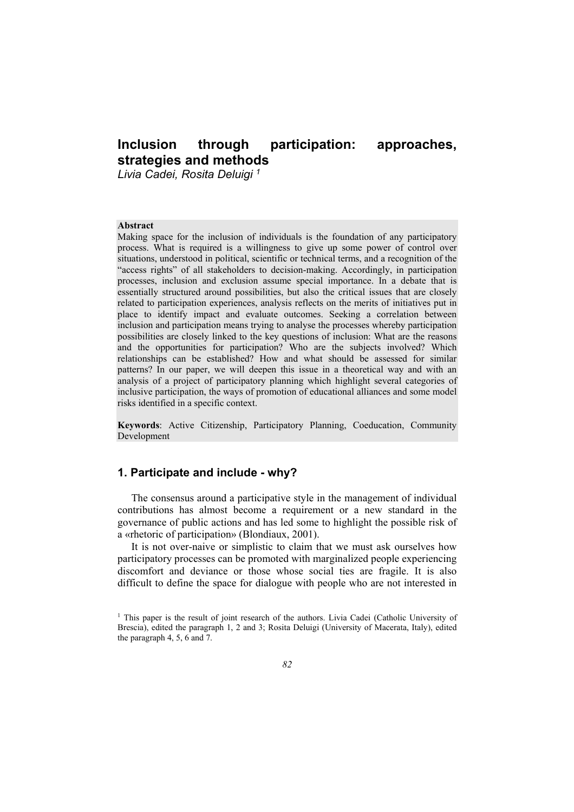# **Inclusion through participation: approaches, strategies and methods**

*Livia Cadei, Rosita Deluigi 1*

#### **Abstract**

Making space for the inclusion of individuals is the foundation of any participatory process. What is required is a willingness to give up some power of control over situations, understood in political, scientific or technical terms, and a recognition of the "access rights" of all stakeholders to decision-making. Accordingly, in participation processes, inclusion and exclusion assume special importance. In a debate that is essentially structured around possibilities, but also the critical issues that are closely related to participation experiences, analysis reflects on the merits of initiatives put in place to identify impact and evaluate outcomes. Seeking a correlation between inclusion and participation means trying to analyse the processes whereby participation possibilities are closely linked to the key questions of inclusion: What are the reasons and the opportunities for participation? Who are the subjects involved? Which relationships can be established? How and what should be assessed for similar patterns? In our paper, we will deepen this issue in a theoretical way and with an analysis of a project of participatory planning which highlight several categories of inclusive participation, the ways of promotion of educational alliances and some model risks identified in a specific context.

**Keywords**: Active Citizenship, Participatory Planning, Coeducation, Community Development

# **1. Participate and include - why?**

The consensus around a participative style in the management of individual contributions has almost become a requirement or a new standard in the governance of public actions and has led some to highlight the possible risk of a «rhetoric of participation» (Blondiaux, 2001).

It is not over-naive or simplistic to claim that we must ask ourselves how participatory processes can be promoted with marginalized people experiencing discomfort and deviance or those whose social ties are fragile. It is also difficult to define the space for dialogue with people who are not interested in

Copyright © FrancoAngeli

Opera pubblicata con Licenza Creative Commons Attribuzione - Non commerciale - Non opere derivate. Per i termini e le condizioni di utilizzo di questa opera consultare il sito: http://creativecommons.org/.

<sup>&</sup>lt;sup>1</sup> This paper is the result of joint research of the authors. Livia Cadei (Catholic University of Brescia), edited the paragraph 1, 2 and 3; Rosita Deluigi (University of Macerata, Italy), edited the paragraph 4, 5, 6 and 7.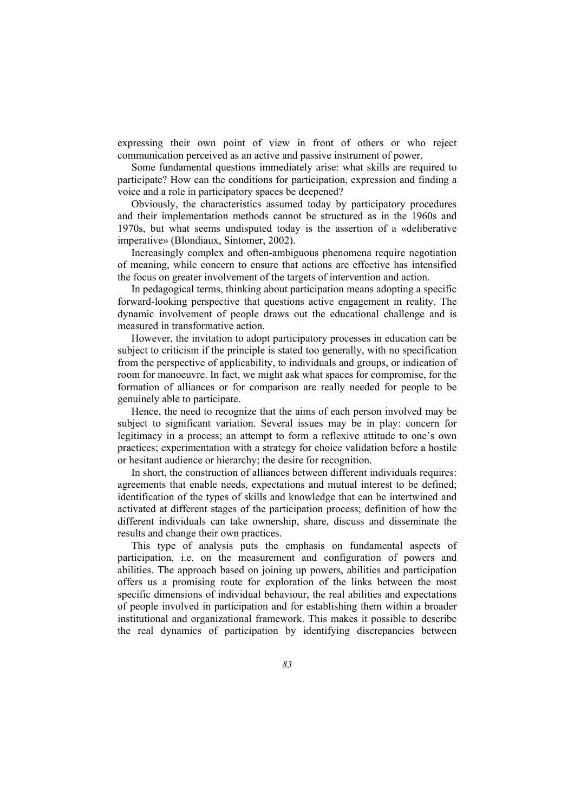expressing their own point of view in front of others or who reject communication perceived as an active and passive instrument of power.

Some fundamental questions immediately arise: what skills are required to participate? How can the conditions for participation, expression and finding a voice and a role in participatory spaces be deepened?

Obviously, the characteristics assumed today by participatory procedures and their implementation methods cannot be structured as in the 1960s and 1970s, but what seems undisputed today is the assertion of a «deliberative imperative» (Blondiaux, Sintomer, 2002).

Increasingly complex and often-ambiguous phenomena require negotiation of meaning, while concern to ensure that actions are effective has intensified the focus on greater involvement of the targets of intervention and action.

In pedagogical terms, thinking about participation means adopting a specific forward-looking perspective that questions active engagement in reality. The dynamic involvement of people draws out the educational challenge and is measured in transformative action.

However, the invitation to adopt participatory processes in education can be subject to criticism if the principle is stated too generally, with no specification from the perspective of applicability, to individuals and groups, or indication of room for manoeuvre. In fact, we might ask what spaces for compromise, for the formation of alliances or for comparison are really needed for people to be genuinely able to participate.

Hence, the need to recognize that the aims of each person involved may be subject to significant variation. Several issues may be in play: concern for legitimacy in a process; an attempt to form a reflexive attitude to one's own practices; experimentation with a strategy for choice validation before a hostile or hesitant audience or hierarchy; the desire for recognition.

In short, the construction of alliances between different individuals requires: agreements that enable needs, expectations and mutual interest to be defined; identification of the types of skills and knowledge that can be intertwined and activated at different stages of the participation process; definition of how the different individuals can take ownership, share, discuss and disseminate the results and change their own practices.

This type of analysis puts the emphasis on fundamental aspects of participation, i.e. on the measurement and configuration of powers and abilities. The approach based on joining up powers, abilities and participation offers us a promising route for exploration of the links between the most specific dimensions of individual behaviour, the real abilities and expectations of people involved in participation and for establishing them within a broader institutional and organizational framework. This makes it possible to describe the real dynamics of participation by identifying discrepancies between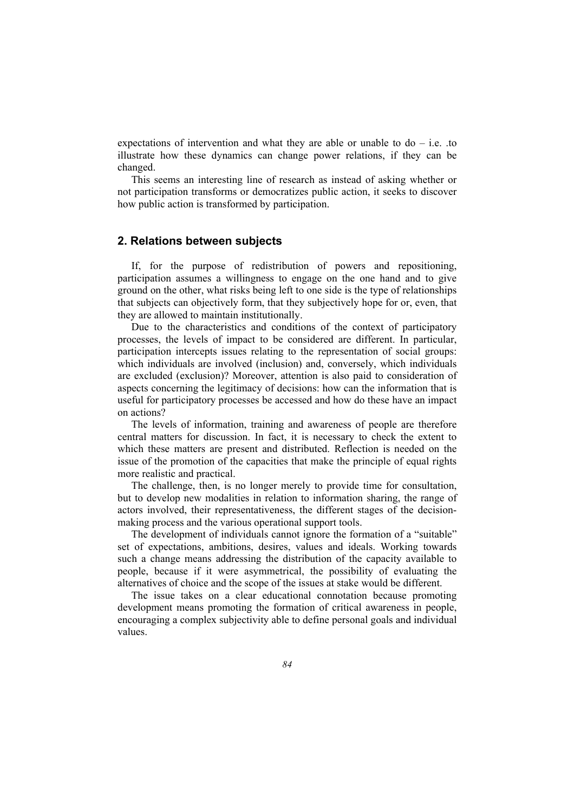expectations of intervention and what they are able or unable to  $d\sigma$  – i.e. .to illustrate how these dynamics can change power relations, if they can be changed.

This seems an interesting line of research as instead of asking whether or not participation transforms or democratizes public action, it seeks to discover how public action is transformed by participation.

## **2. Relations between subjects**

If, for the purpose of redistribution of powers and repositioning, participation assumes a willingness to engage on the one hand and to give ground on the other, what risks being left to one side is the type of relationships that subjects can objectively form, that they subjectively hope for or, even, that they are allowed to maintain institutionally.

Due to the characteristics and conditions of the context of participatory processes, the levels of impact to be considered are different. In particular, participation intercepts issues relating to the representation of social groups: which individuals are involved (inclusion) and, conversely, which individuals are excluded (exclusion)? Moreover, attention is also paid to consideration of aspects concerning the legitimacy of decisions: how can the information that is useful for participatory processes be accessed and how do these have an impact on actions?

The levels of information, training and awareness of people are therefore central matters for discussion. In fact, it is necessary to check the extent to which these matters are present and distributed. Reflection is needed on the issue of the promotion of the capacities that make the principle of equal rights more realistic and practical.

The challenge, then, is no longer merely to provide time for consultation, but to develop new modalities in relation to information sharing, the range of actors involved, their representativeness, the different stages of the decisionmaking process and the various operational support tools.

The development of individuals cannot ignore the formation of a "suitable" set of expectations, ambitions, desires, values and ideals. Working towards such a change means addressing the distribution of the capacity available to people, because if it were asymmetrical, the possibility of evaluating the alternatives of choice and the scope of the issues at stake would be different.

The issue takes on a clear educational connotation because promoting development means promoting the formation of critical awareness in people, encouraging a complex subjectivity able to define personal goals and individual values.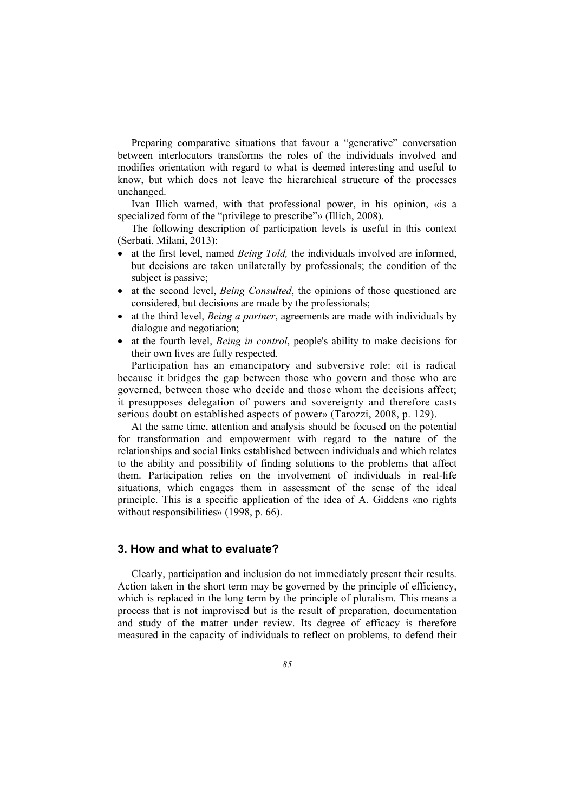Preparing comparative situations that favour a "generative" conversation between interlocutors transforms the roles of the individuals involved and modifies orientation with regard to what is deemed interesting and useful to know, but which does not leave the hierarchical structure of the processes unchanged.

Ivan Illich warned, with that professional power, in his opinion, «is a specialized form of the "privilege to prescribe"» (Illich, 2008).

The following description of participation levels is useful in this context (Serbati, Milani, 2013):

- at the first level, named *Being Told,* the individuals involved are informed, but decisions are taken unilaterally by professionals; the condition of the subject is passive;
- at the second level, *Being Consulted*, the opinions of those questioned are considered, but decisions are made by the professionals;
- at the third level, *Being a partner*, agreements are made with individuals by dialogue and negotiation;
- at the fourth level, *Being in control*, people's ability to make decisions for their own lives are fully respected.

Participation has an emancipatory and subversive role: «it is radical because it bridges the gap between those who govern and those who are governed, between those who decide and those whom the decisions affect; it presupposes delegation of powers and sovereignty and therefore casts serious doubt on established aspects of power» (Tarozzi, 2008, p. 129).

At the same time, attention and analysis should be focused on the potential for transformation and empowerment with regard to the nature of the relationships and social links established between individuals and which relates to the ability and possibility of finding solutions to the problems that affect them. Participation relies on the involvement of individuals in real-life situations, which engages them in assessment of the sense of the ideal principle. This is a specific application of the idea of A. Giddens «no rights without responsibilities» (1998, p. 66).

### **3. How and what to evaluate?**

Clearly, participation and inclusion do not immediately present their results. Action taken in the short term may be governed by the principle of efficiency, which is replaced in the long term by the principle of pluralism. This means a process that is not improvised but is the result of preparation, documentation and study of the matter under review. Its degree of efficacy is therefore measured in the capacity of individuals to reflect on problems, to defend their

Copyright © FrancoAngeli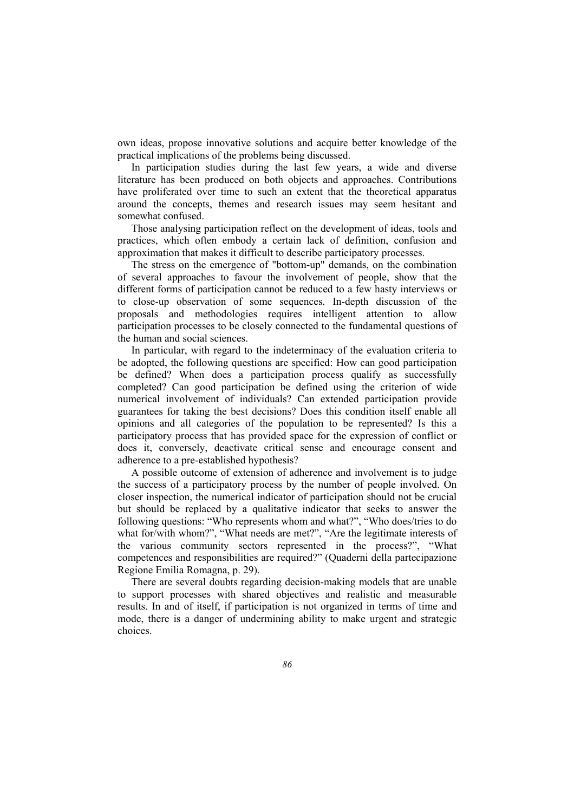own ideas, propose innovative solutions and acquire better knowledge of the practical implications of the problems being discussed.

In participation studies during the last few years, a wide and diverse literature has been produced on both objects and approaches. Contributions have proliferated over time to such an extent that the theoretical apparatus around the concepts, themes and research issues may seem hesitant and somewhat confused.

Those analysing participation reflect on the development of ideas, tools and practices, which often embody a certain lack of definition, confusion and approximation that makes it difficult to describe participatory processes.

The stress on the emergence of "bottom-up" demands, on the combination of several approaches to favour the involvement of people, show that the different forms of participation cannot be reduced to a few hasty interviews or to close-up observation of some sequences. In-depth discussion of the proposals and methodologies requires intelligent attention to allow participation processes to be closely connected to the fundamental questions of the human and social sciences.

In particular, with regard to the indeterminacy of the evaluation criteria to be adopted, the following questions are specified: How can good participation be defined? When does a participation process qualify as successfully completed? Can good participation be defined using the criterion of wide numerical involvement of individuals? Can extended participation provide guarantees for taking the best decisions? Does this condition itself enable all opinions and all categories of the population to be represented? Is this a participatory process that has provided space for the expression of conflict or does it, conversely, deactivate critical sense and encourage consent and adherence to a pre-established hypothesis?

A possible outcome of extension of adherence and involvement is to judge the success of a participatory process by the number of people involved. On closer inspection, the numerical indicator of participation should not be crucial but should be replaced by a qualitative indicator that seeks to answer the following questions: "Who represents whom and what?", "Who does/tries to do what for/with whom?", "What needs are met?", "Are the legitimate interests of the various community sectors represented in the process?", "What competences and responsibilities are required?" (Quaderni della partecipazione Regione Emilia Romagna, p. 29).

There are several doubts regarding decision-making models that are unable to support processes with shared objectives and realistic and measurable results. In and of itself, if participation is not organized in terms of time and mode, there is a danger of undermining ability to make urgent and strategic choices.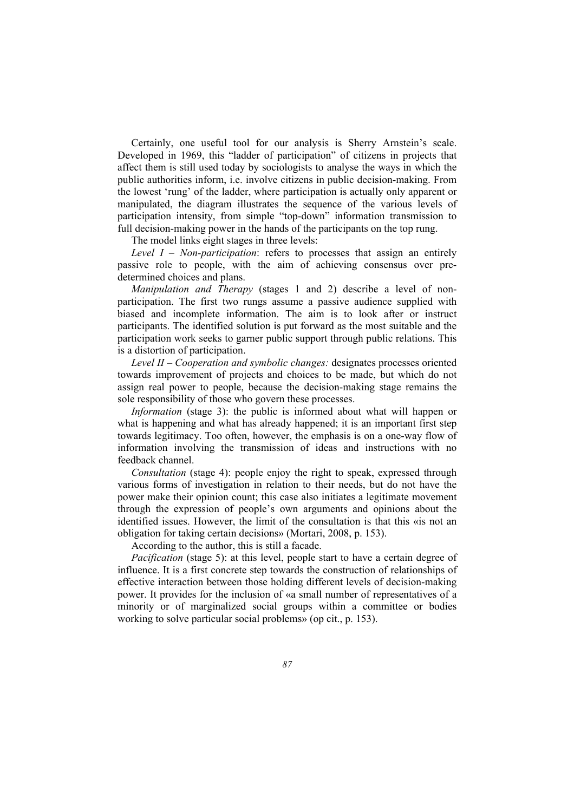Certainly, one useful tool for our analysis is Sherry Arnstein's scale. Developed in 1969, this "ladder of participation" of citizens in projects that affect them is still used today by sociologists to analyse the ways in which the public authorities inform, i.e. involve citizens in public decision-making. From the lowest 'rung' of the ladder, where participation is actually only apparent or manipulated, the diagram illustrates the sequence of the various levels of participation intensity, from simple "top-down" information transmission to full decision-making power in the hands of the participants on the top rung.

The model links eight stages in three levels:

*Level I – Non-participation*: refers to processes that assign an entirely passive role to people, with the aim of achieving consensus over predetermined choices and plans.

*Manipulation and Therapy* (stages 1 and 2) describe a level of nonparticipation. The first two rungs assume a passive audience supplied with biased and incomplete information. The aim is to look after or instruct participants. The identified solution is put forward as the most suitable and the participation work seeks to garner public support through public relations. This is a distortion of participation.

*Level II – Cooperation and symbolic changes:* designates processes oriented towards improvement of projects and choices to be made, but which do not assign real power to people, because the decision-making stage remains the sole responsibility of those who govern these processes.

*Information* (stage 3): the public is informed about what will happen or what is happening and what has already happened; it is an important first step towards legitimacy. Too often, however, the emphasis is on a one-way flow of information involving the transmission of ideas and instructions with no feedback channel.

*Consultation* (stage 4): people enjoy the right to speak, expressed through various forms of investigation in relation to their needs, but do not have the power make their opinion count; this case also initiates a legitimate movement through the expression of people's own arguments and opinions about the identified issues. However, the limit of the consultation is that this «is not an obligation for taking certain decisions» (Mortari, 2008, p. 153).

According to the author, this is still a facade.

*Pacification* (stage 5): at this level, people start to have a certain degree of influence. It is a first concrete step towards the construction of relationships of effective interaction between those holding different levels of decision-making power. It provides for the inclusion of «a small number of representatives of a minority or of marginalized social groups within a committee or bodies working to solve particular social problems» (op cit., p. 153).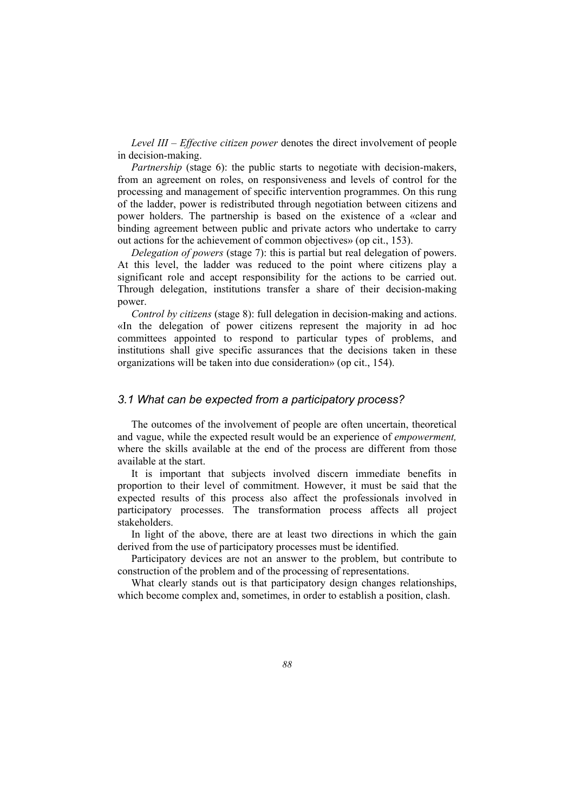*Level III – Effective citizen power* denotes the direct involvement of people in decision-making.

*Partnership* (stage 6): the public starts to negotiate with decision-makers, from an agreement on roles, on responsiveness and levels of control for the processing and management of specific intervention programmes. On this rung of the ladder, power is redistributed through negotiation between citizens and power holders. The partnership is based on the existence of a «clear and binding agreement between public and private actors who undertake to carry out actions for the achievement of common objectives» (op cit., 153).

*Delegation of powers* (stage 7): this is partial but real delegation of powers. At this level, the ladder was reduced to the point where citizens play a significant role and accept responsibility for the actions to be carried out. Through delegation, institutions transfer a share of their decision-making power.

*Control by citizens* (stage 8): full delegation in decision-making and actions. «In the delegation of power citizens represent the majority in ad hoc committees appointed to respond to particular types of problems, and institutions shall give specific assurances that the decisions taken in these organizations will be taken into due consideration» (op cit., 154).

## *3.1 What can be expected from a participatory process?*

The outcomes of the involvement of people are often uncertain, theoretical and vague, while the expected result would be an experience of *empowerment,* where the skills available at the end of the process are different from those available at the start.

It is important that subjects involved discern immediate benefits in proportion to their level of commitment. However, it must be said that the expected results of this process also affect the professionals involved in participatory processes. The transformation process affects all project stakeholders.

In light of the above, there are at least two directions in which the gain derived from the use of participatory processes must be identified.

Participatory devices are not an answer to the problem, but contribute to construction of the problem and of the processing of representations.

What clearly stands out is that participatory design changes relationships, which become complex and, sometimes, in order to establish a position, clash.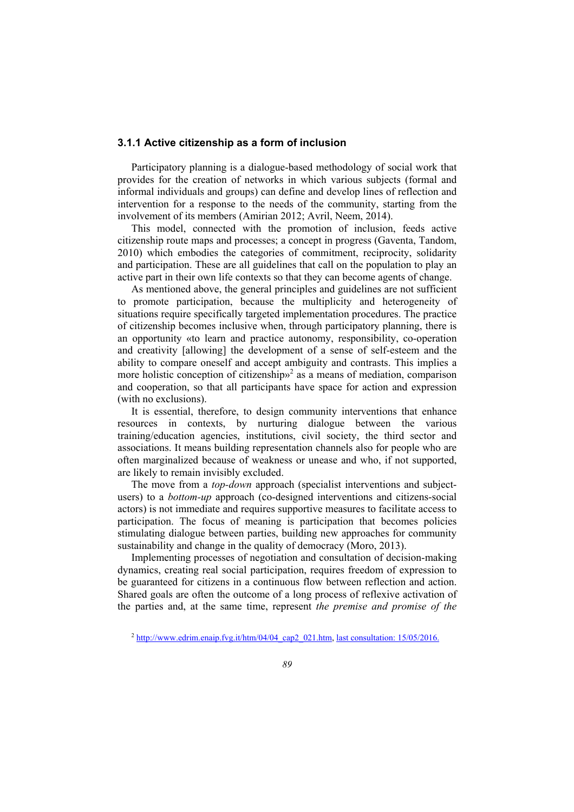#### **3.1.1 Active citizenship as a form of inclusion**

Participatory planning is a dialogue-based methodology of social work that provides for the creation of networks in which various subjects (formal and informal individuals and groups) can define and develop lines of reflection and intervention for a response to the needs of the community, starting from the involvement of its members (Amirian 2012; Avril, Neem, 2014).

This model, connected with the promotion of inclusion, feeds active citizenship route maps and processes; a concept in progress (Gaventa, Tandom, 2010) which embodies the categories of commitment, reciprocity, solidarity and participation. These are all guidelines that call on the population to play an active part in their own life contexts so that they can become agents of change.

As mentioned above, the general principles and guidelines are not sufficient to promote participation, because the multiplicity and heterogeneity of situations require specifically targeted implementation procedures. The practice of citizenship becomes inclusive when, through participatory planning, there is an opportunity «to learn and practice autonomy, responsibility, co-operation and creativity [allowing] the development of a sense of self-esteem and the ability to compare oneself and accept ambiguity and contrasts. This implies a more holistic conception of citizenship $v^2$  as a means of mediation, comparison and cooperation, so that all participants have space for action and expression (with no exclusions).

It is essential, therefore, to design community interventions that enhance resources in contexts, by nurturing dialogue between the various training/education agencies, institutions, civil society, the third sector and associations. It means building representation channels also for people who are often marginalized because of weakness or unease and who, if not supported, are likely to remain invisibly excluded.

The move from a *top-down* approach (specialist interventions and subjectusers) to a *bottom-up* approach (co-designed interventions and citizens-social actors) is not immediate and requires supportive measures to facilitate access to participation. The focus of meaning is participation that becomes policies stimulating dialogue between parties, building new approaches for community sustainability and change in the quality of democracy (Moro, 2013).

Implementing processes of negotiation and consultation of decision-making dynamics, creating real social participation, requires freedom of expression to be guaranteed for citizens in a continuous flow between reflection and action. Shared goals are often the outcome of a long process of reflexive activation of the parties and, at the same time, represent *the premise and promise of the* 

<sup>2</sup> http://www.edrim.enaip.fvg.it/htm/04/04\_cap2\_021.htm, last consultation: 15/05/2016.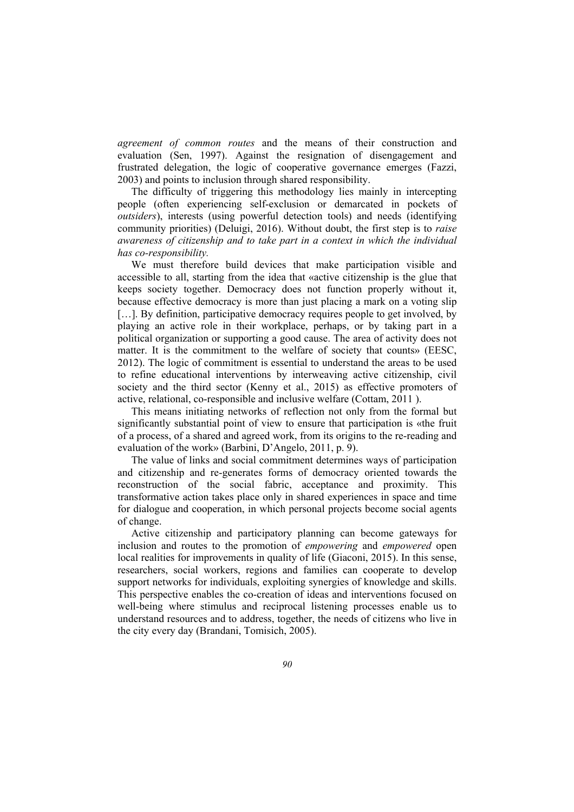*agreement of common routes* and the means of their construction and evaluation (Sen, 1997). Against the resignation of disengagement and frustrated delegation, the logic of cooperative governance emerges (Fazzi, 2003) and points to inclusion through shared responsibility.

The difficulty of triggering this methodology lies mainly in intercepting people (often experiencing self-exclusion or demarcated in pockets of *outsiders*), interests (using powerful detection tools) and needs (identifying community priorities) (Deluigi, 2016). Without doubt, the first step is to *raise awareness of citizenship and to take part in a context in which the individual has co-responsibility.*

We must therefore build devices that make participation visible and accessible to all, starting from the idea that «active citizenship is the glue that keeps society together. Democracy does not function properly without it, because effective democracy is more than just placing a mark on a voting slip [...]. By definition, participative democracy requires people to get involved, by playing an active role in their workplace, perhaps, or by taking part in a political organization or supporting a good cause. The area of activity does not matter. It is the commitment to the welfare of society that counts» (EESC, 2012). The logic of commitment is essential to understand the areas to be used to refine educational interventions by interweaving active citizenship, civil society and the third sector (Kenny et al., 2015) as effective promoters of active, relational, co-responsible and inclusive welfare (Cottam, 2011 ).

This means initiating networks of reflection not only from the formal but significantly substantial point of view to ensure that participation is «the fruit of a process, of a shared and agreed work, from its origins to the re-reading and evaluation of the work» (Barbini, D'Angelo, 2011, p. 9).

The value of links and social commitment determines ways of participation and citizenship and re-generates forms of democracy oriented towards the reconstruction of the social fabric, acceptance and proximity. This transformative action takes place only in shared experiences in space and time for dialogue and cooperation, in which personal projects become social agents of change.

Active citizenship and participatory planning can become gateways for inclusion and routes to the promotion of *empowering* and *empowered* open local realities for improvements in quality of life (Giaconi, 2015). In this sense, researchers, social workers, regions and families can cooperate to develop support networks for individuals, exploiting synergies of knowledge and skills. This perspective enables the co-creation of ideas and interventions focused on well-being where stimulus and reciprocal listening processes enable us to understand resources and to address, together, the needs of citizens who live in the city every day (Brandani, Tomisich, 2005).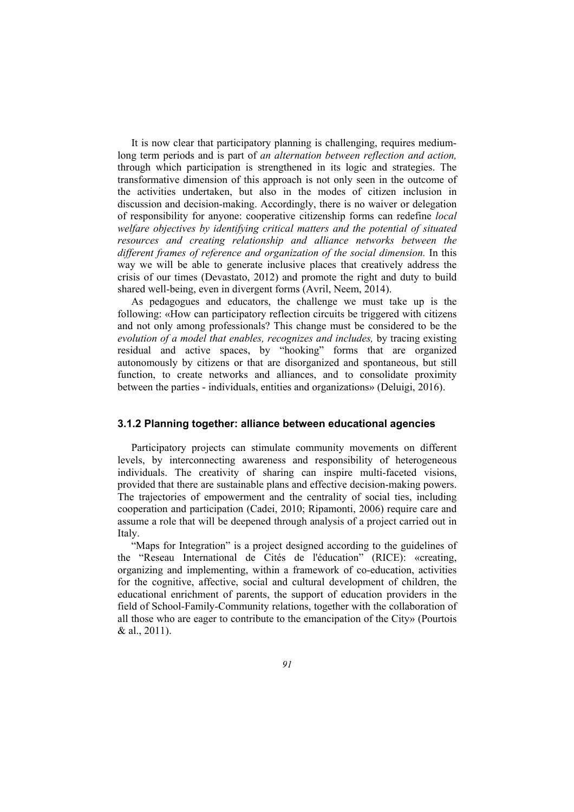It is now clear that participatory planning is challenging, requires mediumlong term periods and is part of *an alternation between reflection and action,*  through which participation is strengthened in its logic and strategies. The transformative dimension of this approach is not only seen in the outcome of the activities undertaken, but also in the modes of citizen inclusion in discussion and decision-making. Accordingly, there is no waiver or delegation of responsibility for anyone: cooperative citizenship forms can redefine *local welfare objectives by identifying critical matters and the potential of situated resources and creating relationship and alliance networks between the different frames of reference and organization of the social dimension.* In this way we will be able to generate inclusive places that creatively address the crisis of our times (Devastato, 2012) and promote the right and duty to build shared well-being, even in divergent forms (Avril, Neem, 2014).

As pedagogues and educators, the challenge we must take up is the following: «How can participatory reflection circuits be triggered with citizens and not only among professionals? This change must be considered to be the *evolution of a model that enables, recognizes and includes,* by tracing existing residual and active spaces, by "hooking" forms that are organized autonomously by citizens or that are disorganized and spontaneous, but still function, to create networks and alliances, and to consolidate proximity between the parties - individuals, entities and organizations» (Deluigi, 2016).

#### **3.1.2 Planning together: alliance between educational agencies**

Participatory projects can stimulate community movements on different levels, by interconnecting awareness and responsibility of heterogeneous individuals. The creativity of sharing can inspire multi-faceted visions, provided that there are sustainable plans and effective decision-making powers. The trajectories of empowerment and the centrality of social ties, including cooperation and participation (Cadei, 2010; Ripamonti, 2006) require care and assume a role that will be deepened through analysis of a project carried out in Italy.

"Maps for Integration" is a project designed according to the guidelines of the "Reseau International de Cités de l'éducation" (RICE): «creating, organizing and implementing, within a framework of co-education, activities for the cognitive, affective, social and cultural development of children, the educational enrichment of parents, the support of education providers in the field of School-Family-Community relations, together with the collaboration of all those who are eager to contribute to the emancipation of the City» (Pourtois & al., 2011).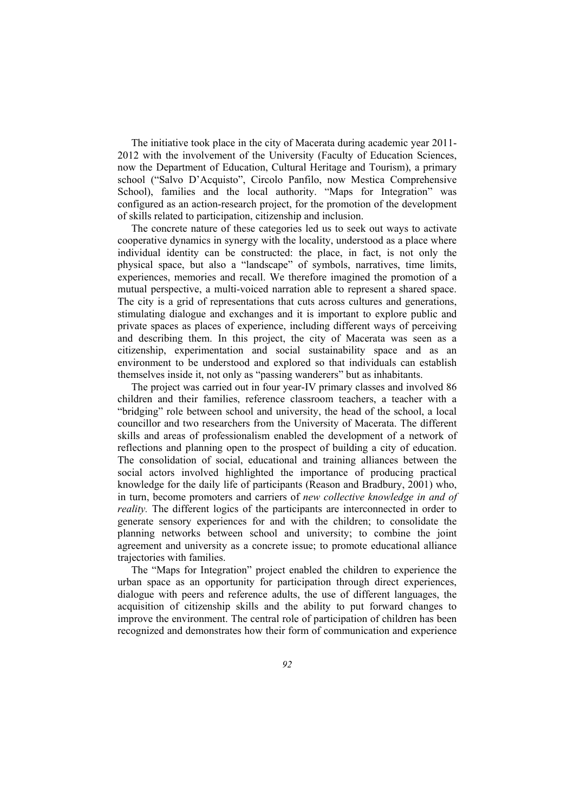The initiative took place in the city of Macerata during academic year 2011- 2012 with the involvement of the University (Faculty of Education Sciences, now the Department of Education, Cultural Heritage and Tourism), a primary school ("Salvo D'Acquisto", Circolo Panfilo, now Mestica Comprehensive School), families and the local authority. "Maps for Integration" was configured as an action-research project, for the promotion of the development of skills related to participation, citizenship and inclusion.

The concrete nature of these categories led us to seek out ways to activate cooperative dynamics in synergy with the locality, understood as a place where individual identity can be constructed: the place, in fact, is not only the physical space, but also a "landscape" of symbols, narratives, time limits, experiences, memories and recall. We therefore imagined the promotion of a mutual perspective, a multi-voiced narration able to represent a shared space. The city is a grid of representations that cuts across cultures and generations, stimulating dialogue and exchanges and it is important to explore public and private spaces as places of experience, including different ways of perceiving and describing them. In this project, the city of Macerata was seen as a citizenship, experimentation and social sustainability space and as an environment to be understood and explored so that individuals can establish themselves inside it, not only as "passing wanderers" but as inhabitants.

The project was carried out in four year-IV primary classes and involved 86 children and their families, reference classroom teachers, a teacher with a "bridging" role between school and university, the head of the school, a local councillor and two researchers from the University of Macerata. The different skills and areas of professionalism enabled the development of a network of reflections and planning open to the prospect of building a city of education. The consolidation of social, educational and training alliances between the social actors involved highlighted the importance of producing practical knowledge for the daily life of participants (Reason and Bradbury, 2001) who, in turn, become promoters and carriers of *new collective knowledge in and of reality.* The different logics of the participants are interconnected in order to generate sensory experiences for and with the children; to consolidate the planning networks between school and university; to combine the joint agreement and university as a concrete issue; to promote educational alliance trajectories with families.

The "Maps for Integration" project enabled the children to experience the urban space as an opportunity for participation through direct experiences, dialogue with peers and reference adults, the use of different languages, the acquisition of citizenship skills and the ability to put forward changes to improve the environment. The central role of participation of children has been recognized and demonstrates how their form of communication and experience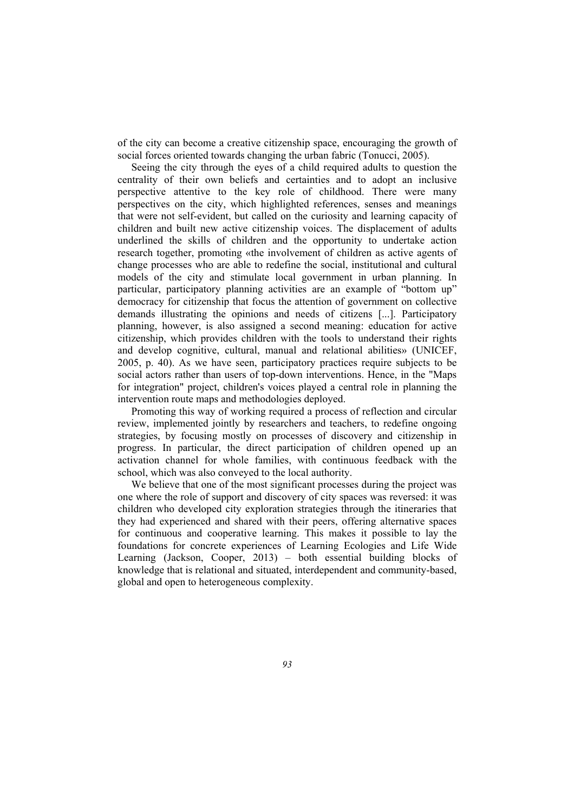of the city can become a creative citizenship space, encouraging the growth of social forces oriented towards changing the urban fabric (Tonucci, 2005).

Seeing the city through the eyes of a child required adults to question the centrality of their own beliefs and certainties and to adopt an inclusive perspective attentive to the key role of childhood. There were many perspectives on the city, which highlighted references, senses and meanings that were not self-evident, but called on the curiosity and learning capacity of children and built new active citizenship voices. The displacement of adults underlined the skills of children and the opportunity to undertake action research together, promoting «the involvement of children as active agents of change processes who are able to redefine the social, institutional and cultural models of the city and stimulate local government in urban planning. In particular, participatory planning activities are an example of "bottom up" democracy for citizenship that focus the attention of government on collective demands illustrating the opinions and needs of citizens [...]. Participatory planning, however, is also assigned a second meaning: education for active citizenship, which provides children with the tools to understand their rights and develop cognitive, cultural, manual and relational abilities» (UNICEF, 2005, p. 40). As we have seen, participatory practices require subjects to be social actors rather than users of top-down interventions. Hence, in the "Maps for integration" project, children's voices played a central role in planning the intervention route maps and methodologies deployed.

Promoting this way of working required a process of reflection and circular review, implemented jointly by researchers and teachers, to redefine ongoing strategies, by focusing mostly on processes of discovery and citizenship in progress. In particular, the direct participation of children opened up an activation channel for whole families, with continuous feedback with the school, which was also conveyed to the local authority.

We believe that one of the most significant processes during the project was one where the role of support and discovery of city spaces was reversed: it was children who developed city exploration strategies through the itineraries that they had experienced and shared with their peers, offering alternative spaces for continuous and cooperative learning. This makes it possible to lay the foundations for concrete experiences of Learning Ecologies and Life Wide Learning (Jackson, Cooper, 2013) – both essential building blocks of knowledge that is relational and situated, interdependent and community-based, global and open to heterogeneous complexity.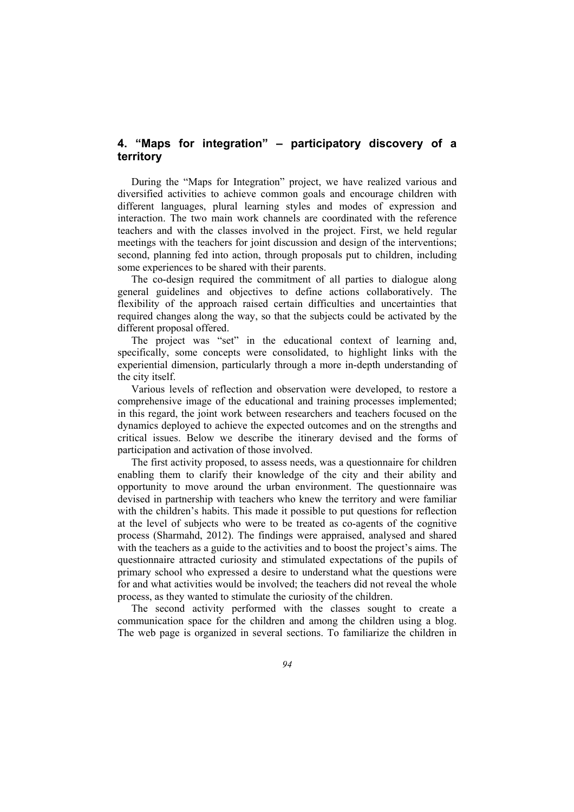# **4. "Maps for integration" – participatory discovery of a territory**

During the "Maps for Integration" project, we have realized various and diversified activities to achieve common goals and encourage children with different languages, plural learning styles and modes of expression and interaction. The two main work channels are coordinated with the reference teachers and with the classes involved in the project. First, we held regular meetings with the teachers for joint discussion and design of the interventions; second, planning fed into action, through proposals put to children, including some experiences to be shared with their parents.

The co-design required the commitment of all parties to dialogue along general guidelines and objectives to define actions collaboratively. The flexibility of the approach raised certain difficulties and uncertainties that required changes along the way, so that the subjects could be activated by the different proposal offered.

The project was "set" in the educational context of learning and, specifically, some concepts were consolidated, to highlight links with the experiential dimension, particularly through a more in-depth understanding of the city itself.

Various levels of reflection and observation were developed, to restore a comprehensive image of the educational and training processes implemented; in this regard, the joint work between researchers and teachers focused on the dynamics deployed to achieve the expected outcomes and on the strengths and critical issues. Below we describe the itinerary devised and the forms of participation and activation of those involved.

The first activity proposed, to assess needs, was a questionnaire for children enabling them to clarify their knowledge of the city and their ability and opportunity to move around the urban environment. The questionnaire was devised in partnership with teachers who knew the territory and were familiar with the children's habits. This made it possible to put questions for reflection at the level of subjects who were to be treated as co-agents of the cognitive process (Sharmahd, 2012). The findings were appraised, analysed and shared with the teachers as a guide to the activities and to boost the project's aims. The questionnaire attracted curiosity and stimulated expectations of the pupils of primary school who expressed a desire to understand what the questions were for and what activities would be involved; the teachers did not reveal the whole process, as they wanted to stimulate the curiosity of the children.

The second activity performed with the classes sought to create a communication space for the children and among the children using a blog. The web page is organized in several sections. To familiarize the children in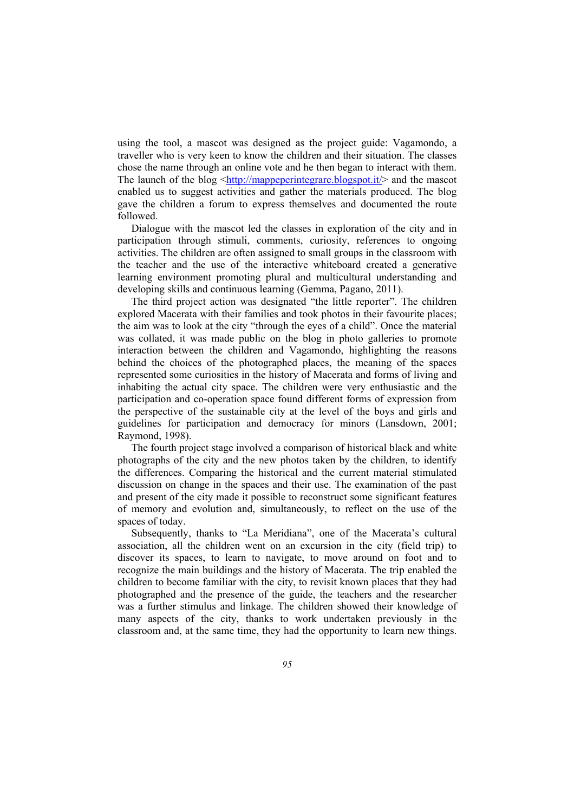using the tool, a mascot was designed as the project guide: Vagamondo, a traveller who is very keen to know the children and their situation. The classes chose the name through an online vote and he then began to interact with them. The launch of the blog  $\frac{\text{http://mappeperintegrate.blogspot.it/}}{\text{http://mappeperintegrate.blogspot.it/}}$  and the mascot enabled us to suggest activities and gather the materials produced. The blog gave the children a forum to express themselves and documented the route followed.

Dialogue with the mascot led the classes in exploration of the city and in participation through stimuli, comments, curiosity, references to ongoing activities. The children are often assigned to small groups in the classroom with the teacher and the use of the interactive whiteboard created a generative learning environment promoting plural and multicultural understanding and developing skills and continuous learning (Gemma, Pagano, 2011).

The third project action was designated "the little reporter". The children explored Macerata with their families and took photos in their favourite places; the aim was to look at the city "through the eyes of a child". Once the material was collated, it was made public on the blog in photo galleries to promote interaction between the children and Vagamondo, highlighting the reasons behind the choices of the photographed places, the meaning of the spaces represented some curiosities in the history of Macerata and forms of living and inhabiting the actual city space. The children were very enthusiastic and the participation and co-operation space found different forms of expression from the perspective of the sustainable city at the level of the boys and girls and guidelines for participation and democracy for minors (Lansdown, 2001; Raymond, 1998).

The fourth project stage involved a comparison of historical black and white photographs of the city and the new photos taken by the children, to identify the differences. Comparing the historical and the current material stimulated discussion on change in the spaces and their use. The examination of the past and present of the city made it possible to reconstruct some significant features of memory and evolution and, simultaneously, to reflect on the use of the spaces of today.

Subsequently, thanks to "La Meridiana", one of the Macerata's cultural association, all the children went on an excursion in the city (field trip) to discover its spaces, to learn to navigate, to move around on foot and to recognize the main buildings and the history of Macerata. The trip enabled the children to become familiar with the city, to revisit known places that they had photographed and the presence of the guide, the teachers and the researcher was a further stimulus and linkage. The children showed their knowledge of many aspects of the city, thanks to work undertaken previously in the classroom and, at the same time, they had the opportunity to learn new things.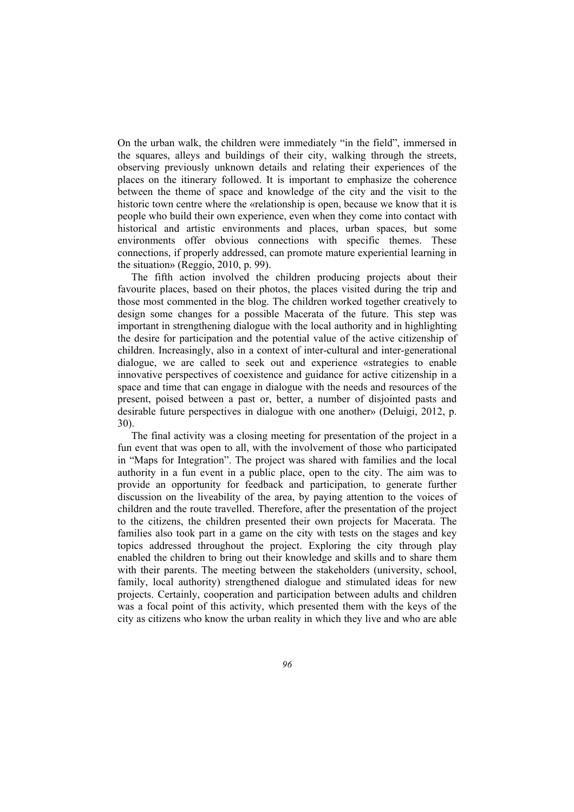On the urban walk, the children were immediately "in the field", immersed in the squares, alleys and buildings of their city, walking through the streets, observing previously unknown details and relating their experiences of the places on the itinerary followed. It is important to emphasize the coherence between the theme of space and knowledge of the city and the visit to the historic town centre where the «relationship is open, because we know that it is people who build their own experience, even when they come into contact with historical and artistic environments and places, urban spaces, but some environments offer obvious connections with specific themes. These connections, if properly addressed, can promote mature experiential learning in the situation» (Reggio, 2010, p. 99).

The fifth action involved the children producing projects about their favourite places, based on their photos, the places visited during the trip and those most commented in the blog. The children worked together creatively to design some changes for a possible Macerata of the future. This step was important in strengthening dialogue with the local authority and in highlighting the desire for participation and the potential value of the active citizenship of children. Increasingly, also in a context of inter-cultural and inter-generational dialogue, we are called to seek out and experience «strategies to enable innovative perspectives of coexistence and guidance for active citizenship in a space and time that can engage in dialogue with the needs and resources of the present, poised between a past or, better, a number of disjointed pasts and desirable future perspectives in dialogue with one another» (Deluigi, 2012, p. 30).

The final activity was a closing meeting for presentation of the project in a fun event that was open to all, with the involvement of those who participated in "Maps for Integration". The project was shared with families and the local authority in a fun event in a public place, open to the city. The aim was to provide an opportunity for feedback and participation, to generate further discussion on the liveability of the area, by paying attention to the voices of children and the route travelled. Therefore, after the presentation of the project to the citizens, the children presented their own projects for Macerata. The families also took part in a game on the city with tests on the stages and key topics addressed throughout the project. Exploring the city through play enabled the children to bring out their knowledge and skills and to share them with their parents. The meeting between the stakeholders (university, school, family, local authority) strengthened dialogue and stimulated ideas for new projects. Certainly, cooperation and participation between adults and children was a focal point of this activity, which presented them with the keys of the city as citizens who know the urban reality in which they live and who are able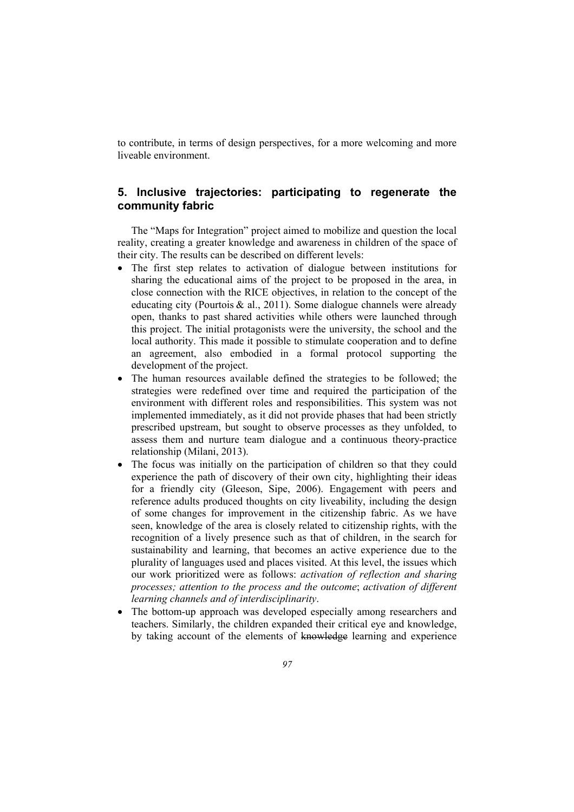to contribute, in terms of design perspectives, for a more welcoming and more liveable environment.

# **5. Inclusive trajectories: participating to regenerate the community fabric**

The "Maps for Integration" project aimed to mobilize and question the local reality, creating a greater knowledge and awareness in children of the space of their city. The results can be described on different levels:

- The first step relates to activation of dialogue between institutions for sharing the educational aims of the project to be proposed in the area, in close connection with the RICE objectives, in relation to the concept of the educating city (Pourtois  $\&$  al., 2011). Some dialogue channels were already open, thanks to past shared activities while others were launched through this project. The initial protagonists were the university, the school and the local authority. This made it possible to stimulate cooperation and to define an agreement, also embodied in a formal protocol supporting the development of the project.
- The human resources available defined the strategies to be followed; the strategies were redefined over time and required the participation of the environment with different roles and responsibilities. This system was not implemented immediately, as it did not provide phases that had been strictly prescribed upstream, but sought to observe processes as they unfolded, to assess them and nurture team dialogue and a continuous theory-practice relationship (Milani, 2013).
- The focus was initially on the participation of children so that they could experience the path of discovery of their own city, highlighting their ideas for a friendly city (Gleeson, Sipe, 2006). Engagement with peers and reference adults produced thoughts on city liveability, including the design of some changes for improvement in the citizenship fabric. As we have seen, knowledge of the area is closely related to citizenship rights, with the recognition of a lively presence such as that of children, in the search for sustainability and learning, that becomes an active experience due to the plurality of languages used and places visited. At this level, the issues which our work prioritized were as follows: *activation of reflection and sharing processes; attention to the process and the outcome*; *activation of different learning channels and of interdisciplinarity*.
- The bottom-up approach was developed especially among researchers and teachers. Similarly, the children expanded their critical eye and knowledge, by taking account of the elements of knowledge learning and experience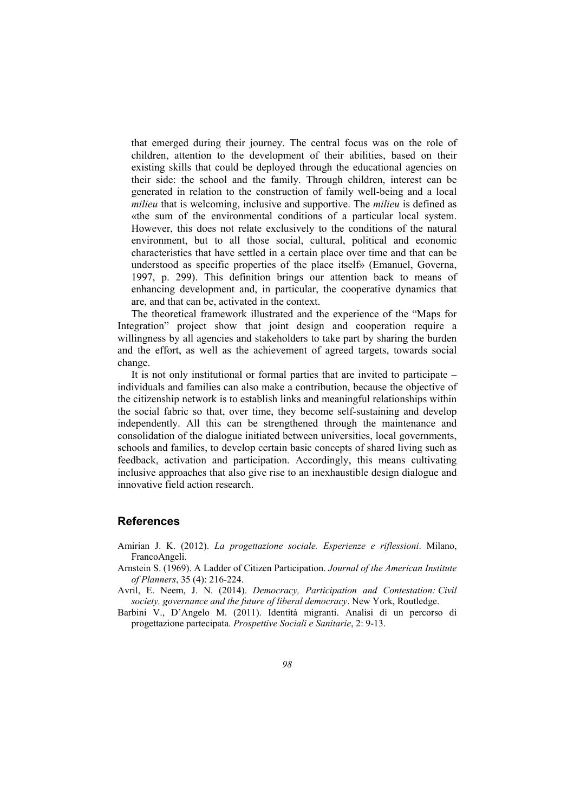that emerged during their journey. The central focus was on the role of children, attention to the development of their abilities, based on their existing skills that could be deployed through the educational agencies on their side: the school and the family. Through children, interest can be generated in relation to the construction of family well-being and a local *milieu* that is welcoming, inclusive and supportive. The *milieu* is defined as «the sum of the environmental conditions of a particular local system. However, this does not relate exclusively to the conditions of the natural environment, but to all those social, cultural, political and economic characteristics that have settled in a certain place over time and that can be understood as specific properties of the place itself» (Emanuel, Governa, 1997, p. 299). This definition brings our attention back to means of enhancing development and, in particular, the cooperative dynamics that are, and that can be, activated in the context.

The theoretical framework illustrated and the experience of the "Maps for Integration" project show that joint design and cooperation require a willingness by all agencies and stakeholders to take part by sharing the burden and the effort, as well as the achievement of agreed targets, towards social change.

It is not only institutional or formal parties that are invited to participate – individuals and families can also make a contribution, because the objective of the citizenship network is to establish links and meaningful relationships within the social fabric so that, over time, they become self-sustaining and develop independently. All this can be strengthened through the maintenance and consolidation of the dialogue initiated between universities, local governments, schools and families, to develop certain basic concepts of shared living such as feedback, activation and participation. Accordingly, this means cultivating inclusive approaches that also give rise to an inexhaustible design dialogue and innovative field action research.

## **References**

- Amirian J. K. (2012). *La progettazione sociale. Esperienze e riflessioni*. Milano, FrancoAngeli.
- Arnstein S. (1969). A Ladder of Citizen Participation. *Journal of the American Institute of Planners*, 35 (4): 216-224.
- Avril, E. Neem, J. N. (2014). *Democracy, Participation and Contestation: Civil society, governance and the future of liberal democracy*. New York, Routledge.
- Barbini V., D'Angelo M. (2011). Identità migranti. Analisi di un percorso di progettazione partecipata*. Prospettive Sociali e Sanitarie*, 2: 9-13.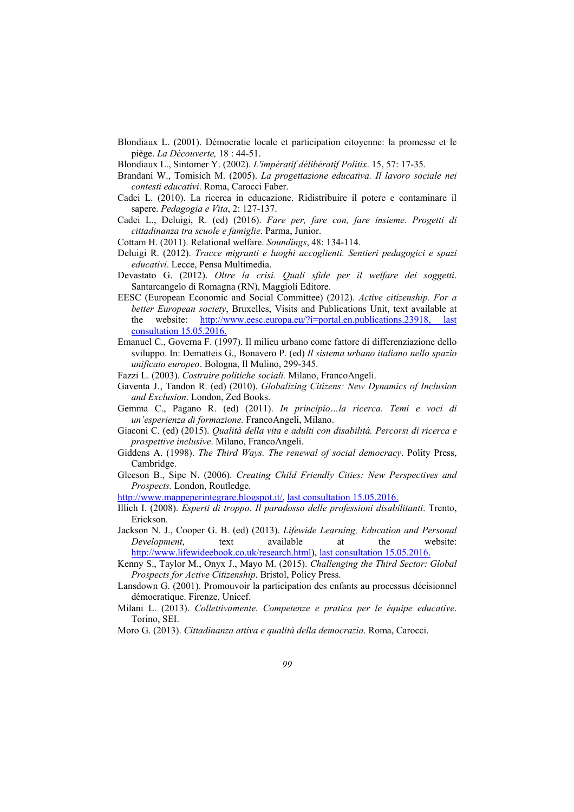- Blondiaux L. (2001). Démocratie locale et participation citoyenne: la promesse et le piège. *La Découverte,* 18 : 44-51.
- Blondiaux L., Sintomer Y. (2002). *L'impératif délibératif Politix*. 15, 57: 17-35.
- Brandani W., Tomisich M. (2005). *La progettazione educativa. Il lavoro sociale nei contesti educativi*. Roma, Carocci Faber.
- Cadei L. (2010). La ricerca in educazione. Ridistribuire il potere e contaminare il sapere. *Pedagogia e Vita*, 2: 127-137.
- Cadei L., Deluigi, R. (ed) (2016). *Fare per, fare con, fare insieme. Progetti di cittadinanza tra scuole e famiglie*. Parma, Junior.
- Cottam H. (2011). Relational welfare. *Soundings*, 48: 134-114.
- Deluigi R. (2012). *Tracce migranti e luoghi accoglienti. Sentieri pedagogici e spazi educativi*. Lecce, Pensa Multimedia.
- Devastato G. (2012). *Oltre la crisi. Quali sfide per il welfare dei soggetti*. Santarcangelo di Romagna (RN), Maggioli Editore.
- EESC (European Economic and Social Committee) (2012). *Active citizenship. For a better European society*, Bruxelles, Visits and Publications Unit, text available at the website: http://www.eesc.europa.eu/?i=portal.en.publications.23918, last consultation 15.05.2016.
- Emanuel C., Governa F. (1997). Il milieu urbano come fattore di differenziazione dello sviluppo. In: Dematteis G., Bonavero P. (ed) *Il sistema urbano italiano nello spazio unificato europeo*. Bologna, Il Mulino, 299-345.
- Fazzi L. (2003). *Costruire politiche sociali.* Milano, FrancoAngeli.
- Gaventa J., Tandon R. (ed) (2010). *Globalizing Citizens: New Dynamics of Inclusion and Exclusion*. London, Zed Books.
- Gemma C., Pagano R. (ed) (2011). *In principio…la ricerca. Temi e voci di un'esperienza di formazione.* FrancoAngeli, Milano.
- Giaconi C. (ed) (2015). *Qualità della vita e adulti con disabilità. Percorsi di ricerca e prospettive inclusive*. Milano, FrancoAngeli.
- Giddens A. (1998). *The Third Ways. The renewal of social democracy*. Polity Press, Cambridge.
- Gleeson B., Sipe N. (2006). *Creating Child Friendly Cities: New Perspectives and Prospects.* London, Routledge.

http://www.mappeperintegrare.blogspot.it/, last consultation 15.05.2016.

- Illich I. (2008). *Esperti di troppo. Il paradosso delle professioni disabilitanti*. Trento, Erickson.
- Jackson N. J., Cooper G. B. (ed) (2013). *Lifewide Learning, Education and Personal Development*, text available at the website: http://www.lifewideebook.co.uk/research.html), last consultation 15.05.2016.
- Kenny S., Taylor M., Onyx J., Mayo M. (2015). *Challenging the Third Sector: Global Prospects for Active Citizenship*. Bristol, Policy Press.
- Lansdown G. (2001). Promouvoir la participation des enfants au processus décisionnel démocratique. Firenze, Unicef.
- Milani L. (2013). *Collettivamente. Competenze e pratica per le équipe educative*. Torino, SEI.

Moro G. (2013). *Cittadinanza attiva e qualità della democrazia*. Roma, Carocci.